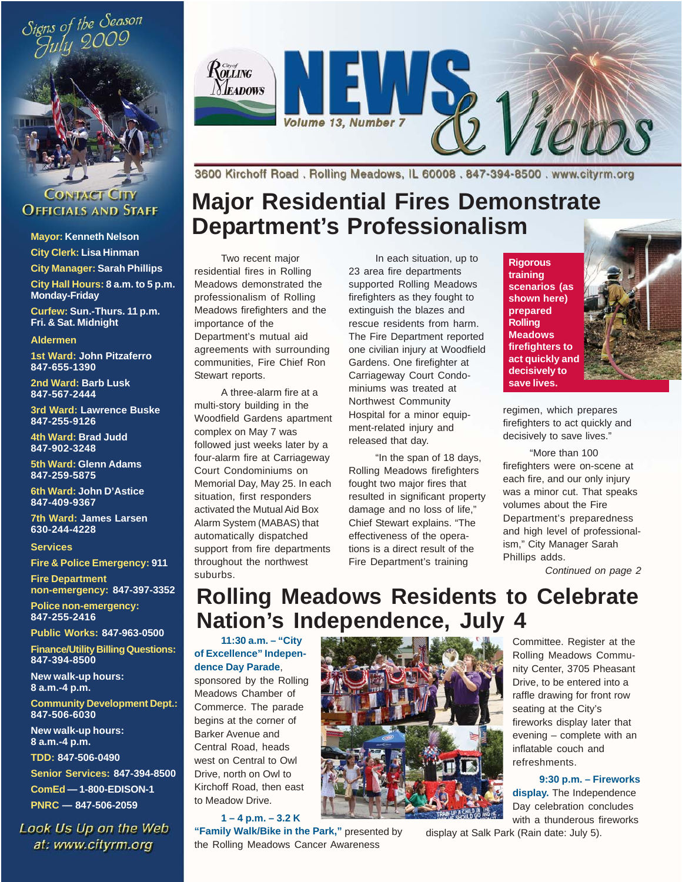



#### **CONTACT CITY OFFICIALS AND STAFF**

**Mayor: Kenneth Nelson**

**City Clerk: Lisa Hinman City Manager: Sarah Phillips**

**City Hall Hours: 8 a.m. to 5 p.m. Monday-Friday**

**Curfew: Sun.-Thurs. 11 p.m. Fri. & Sat. Midnight**

#### **Aldermen**

**1st Ward: John Pitzaferro 847-655-1390**

**2nd Ward: Barb Lusk 847-567-2444**

**3rd Ward: Lawrence Buske 847-255-9126**

**4th Ward: Brad Judd 847-902-3248**

**5th Ward: Glenn Adams 847-259-5875**

**6th Ward: John D'Astice 847-409-9367**

**7th Ward: James Larsen 630-244-4228**

**Services**

**Fire & Police Emergency: 911**

**Fire Department non-emergency: 847-397-3352**

**Police non-emergency: 847-255-2416**

**Public Works: 847-963-0500**

**Finance/Utility Billing Questions: 847-394-8500**

**New walk-up hours: 8 a.m.-4 p.m.**

**Community Development Dept.: 847-506-6030**

**New walk-up hours: 8 a.m.-4 p.m.**

**TDD: 847-506-0490**

**Senior Services: 847-394-8500 ComEd — 1-800-EDISON-1 PNRC — 847-506-2059**

Look Us Up on the Web at: www.cityrm.org



3600 Kirchoff Road, Rolling Meadows, IL 60008, 847-394-8500, www.cityrm.org

# **Major Residential Fires Demonstrate Department's Professionalism**

Two recent major residential fires in Rolling Meadows demonstrated the professionalism of Rolling Meadows firefighters and the importance of the Department's mutual aid agreements with surrounding communities, Fire Chief Ron Stewart reports.

A three-alarm fire at a multi-story building in the Woodfield Gardens apartment complex on May 7 was followed just weeks later by a four-alarm fire at Carriageway Court Condominiums on Memorial Day, May 25. In each situation, first responders activated the Mutual Aid Box Alarm System (MABAS) that automatically dispatched support from fire departments throughout the northwest suburbs.

In each situation, up to 23 area fire departments supported Rolling Meadows firefighters as they fought to extinguish the blazes and rescue residents from harm. The Fire Department reported one civilian injury at Woodfield Gardens. One firefighter at Carriageway Court Condominiums was treated at Northwest Community Hospital for a minor equipment-related injury and released that day.

"In the span of 18 days, Rolling Meadows firefighters fought two major fires that resulted in significant property damage and no loss of life," Chief Stewart explains. "The effectiveness of the operations is a direct result of the Fire Department's training

**Rigorous training scenarios (as shown here) prepared Rolling Meadows firefighters to act quickly and decisively to save lives.**



regimen, which prepares firefighters to act quickly and decisively to save lives."

"More than 100 firefighters were on-scene at each fire, and our only injury was a minor cut. That speaks volumes about the Fire Department's preparedness and high level of professionalism," City Manager Sarah Phillips adds.

*Continued on page 2*

# **Rolling Meadows Residents to Celebrate Nation's Independence, July 4**

**11:30 a.m. – "City of Excellence" Independence Day Parade**,

sponsored by the Rolling Meadows Chamber of Commerce. The parade begins at the corner of Barker Avenue and Central Road, heads west on Central to Owl Drive, north on Owl to Kirchoff Road, then east to Meadow Drive.

**1 – 4 p.m. – 3.2 K**

**"Family Walk/Bike in the Park,"** presented by the Rolling Meadows Cancer Awareness



Committee. Register at the Rolling Meadows Community Center, 3705 Pheasant Drive, to be entered into a raffle drawing for front row seating at the City's fireworks display later that evening – complete with an inflatable couch and refreshments.

#### **9:30 p.m. – Fireworks**

**display.** The Independence Day celebration concludes with a thunderous fireworks

display at Salk Park (Rain date: July 5).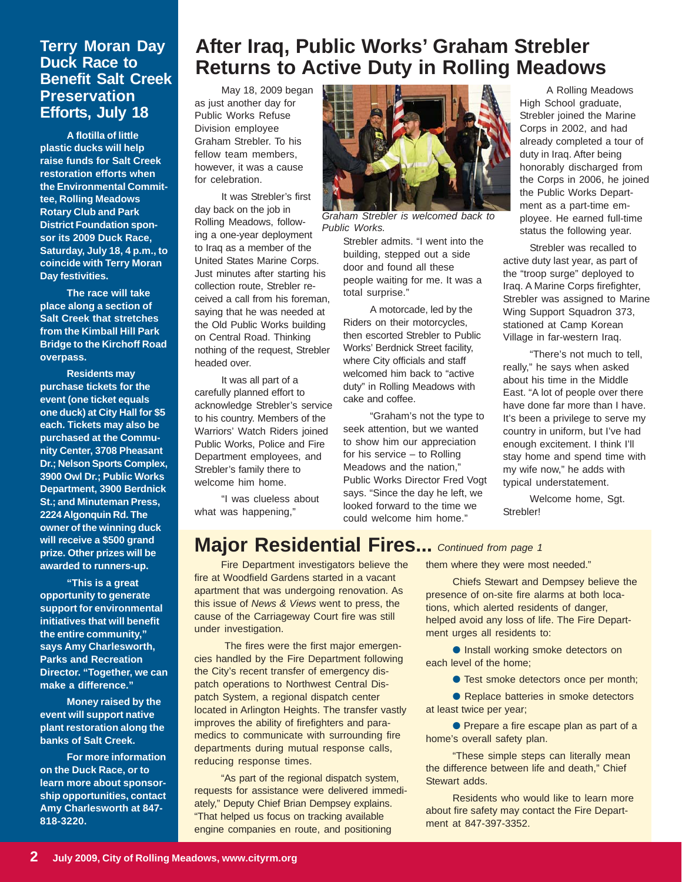#### **Terry Moran Day Duck Race to Benefit Salt Creek Preservation Efforts, July 18**

**A flotilla of little plastic ducks will help raise funds for Salt Creek restoration efforts when the Environmental Committee, Rolling Meadows Rotary Club and Park District Foundation sponsor its 2009 Duck Race, Saturday, July 18, 4 p.m., to coincide with Terry Moran Day festivities.**

**The race will take place along a section of Salt Creek that stretches from the Kimball Hill Park Bridge to the Kirchoff Road overpass.**

**Residents may purchase tickets for the event (one ticket equals one duck) at City Hall for \$5 each. Tickets may also be purchased at the Community Center, 3708 Pheasant Dr.; Nelson Sports Complex, 3900 Owl Dr.; Public Works Department, 3900 Berdnick St.; and Minuteman Press, 2224 Algonquin Rd. The owner of the winning duck will receive a \$500 grand prize. Other prizes will be awarded to runners-up.**

**"This is a great opportunity to generate support for environmental initiatives that will benefit the entire community," says Amy Charlesworth, Parks and Recreation Director. "Together, we can make a difference."**

**Money raised by the event will support native plant restoration along the banks of Salt Creek.**

**For more information on the Duck Race, or to learn more about sponsorship opportunities, contact Amy Charlesworth at 847- 818-3220.**

## **After Iraq, Public Works' Graham Strebler Returns to Active Duty in Rolling Meadows**

May 18, 2009 began as just another day for Public Works Refuse Division employee Graham Strebler. To his fellow team members, however, it was a cause for celebration.

It was Strebler's first day back on the job in Rolling Meadows, following a one-year deployment to Iraq as a member of the United States Marine Corps. Just minutes after starting his collection route, Strebler received a call from his foreman, saying that he was needed at the Old Public Works building on Central Road. Thinking nothing of the request, Strebler headed over.

It was all part of a carefully planned effort to acknowledge Strebler's service to his country. Members of the Warriors' Watch Riders joined Public Works, Police and Fire Department employees, and Strebler's family there to welcome him home.

"I was clueless about what was happening,"



*Graham Strebler is welcomed back to Public Works.*

Strebler admits. "I went into the building, stepped out a side door and found all these people waiting for me. It was a total surprise."

A motorcade, led by the Riders on their motorcycles, then escorted Strebler to Public Works' Berdnick Street facility, where City officials and staff welcomed him back to "active duty" in Rolling Meadows with cake and coffee.

"Graham's not the type to seek attention, but we wanted to show him our appreciation for his service – to Rolling Meadows and the nation," Public Works Director Fred Vogt says. "Since the day he left, we looked forward to the time we could welcome him home."

A Rolling Meadows High School graduate, Strebler joined the Marine Corps in 2002, and had already completed a tour of duty in Iraq. After being honorably discharged from the Corps in 2006, he joined the Public Works Department as a part-time employee. He earned full-time status the following year.

Strebler was recalled to active duty last year, as part of the "troop surge" deployed to Iraq. A Marine Corps firefighter, Strebler was assigned to Marine Wing Support Squadron 373, stationed at Camp Korean Village in far-western Iraq.

"There's not much to tell, really," he says when asked about his time in the Middle East. "A lot of people over there have done far more than I have. It's been a privilege to serve my country in uniform, but I've had enough excitement. I think I'll stay home and spend time with my wife now," he adds with typical understatement.

Welcome home, Sgt. Strebler!

### **Major Residential Fires...** *Continued from page 1*

Fire Department investigators believe the fire at Woodfield Gardens started in a vacant apartment that was undergoing renovation. As this issue of *News & Views* went to press, the cause of the Carriageway Court fire was still under investigation.

 The fires were the first major emergencies handled by the Fire Department following the City's recent transfer of emergency dispatch operations to Northwest Central Dispatch System, a regional dispatch center located in Arlington Heights. The transfer vastly improves the ability of firefighters and paramedics to communicate with surrounding fire departments during mutual response calls, reducing response times.

"As part of the regional dispatch system, requests for assistance were delivered immediately," Deputy Chief Brian Dempsey explains. "That helped us focus on tracking available engine companies en route, and positioning

them where they were most needed."

Chiefs Stewart and Dempsey believe the presence of on-site fire alarms at both locations, which alerted residents of danger, helped avoid any loss of life. The Fire Department urges all residents to:

● Install working smoke detectors on each level of the home;

● Test smoke detectors once per month;

● Replace batteries in smoke detectors at least twice per year;

● Prepare a fire escape plan as part of a home's overall safety plan.

"These simple steps can literally mean the difference between life and death," Chief Stewart adds.

Residents who would like to learn more about fire safety may contact the Fire Department at 847-397-3352.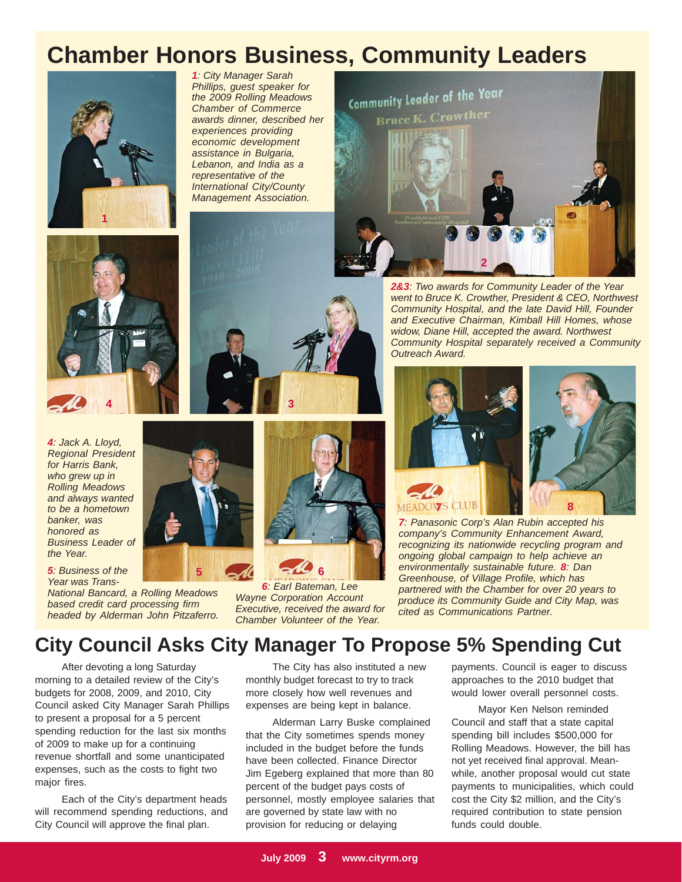# **Chamber Honors Business, Community Leaders**







*4: Jack A. Lloyd, Regional President for Harris Bank, who grew up in Rolling Meadows and always wanted to be a hometown banker, was honored as Business Leader of the Year.*

*5: Business of the Year was Trans-*

*National Bancard, a Rolling Meadows based credit card processing firm headed by Alderman John Pitzaferro.*





**3**

*Wayne Corporation Account Executive, received the award for Chamber Volunteer of the Year.*



*2&3: Two awards for Community Leader of the Year went to Bruce K. Crowther, President & CEO, Northwest Community Hospital, and the late David Hill, Founder and Executive Chairman, Kimball Hill Homes, whose widow, Diane Hill, accepted the award. Northwest Community Hospital separately received a Community Outreach Award.*



*7: Panasonic Corp's Alan Rubin accepted his company's Community Enhancement Award, recognizing its nationwide recycling program and ongoing global campaign to help achieve an environmentally sustainable future. 8: Dan Greenhouse, of Village Profile, which has partnered with the Chamber for over 20 years to produce its Community Guide and City Map, was cited as Communications Partner.*

## **City Council Asks City Manager To Propose 5% Spending Cut**

After devoting a long Saturday morning to a detailed review of the City's budgets for 2008, 2009, and 2010, City Council asked City Manager Sarah Phillips to present a proposal for a 5 percent spending reduction for the last six months of 2009 to make up for a continuing revenue shortfall and some unanticipated expenses, such as the costs to fight two major fires.

Each of the City's department heads will recommend spending reductions, and City Council will approve the final plan.

The City has also instituted a new monthly budget forecast to try to track more closely how well revenues and expenses are being kept in balance.

Alderman Larry Buske complained that the City sometimes spends money included in the budget before the funds have been collected. Finance Director Jim Egeberg explained that more than 80 percent of the budget pays costs of personnel, mostly employee salaries that are governed by state law with no provision for reducing or delaying

payments. Council is eager to discuss approaches to the 2010 budget that would lower overall personnel costs.

Mayor Ken Nelson reminded Council and staff that a state capital spending bill includes \$500,000 for Rolling Meadows. However, the bill has not yet received final approval. Meanwhile, another proposal would cut state payments to municipalities, which could cost the City \$2 million, and the City's required contribution to state pension funds could double.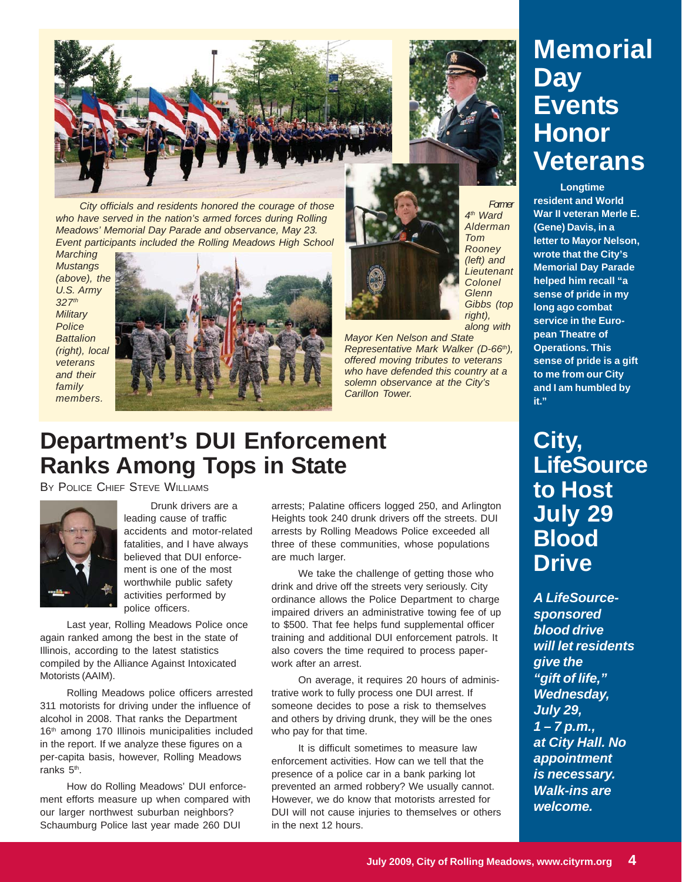

*City officials and residents honored the courage of those who have served in the nation's armed forces during Rolling Meadows' Memorial Day Parade and observance, May 23. Event participants included the Rolling Meadows High School*

*Marching Mustangs (above), the U.S. Army 327th Military Police Battalion (right), local veterans and their family members.*



*right), along with Mayor Ken Nelson and State Representative Mark Walker (D-66th), offered moving tributes to veterans who have defended this country at a solemn observance at the City's Carillon Tower.*

# **Department's DUI Enforcement Ranks Among Tops in State**

BY POLICE CHIEF STEVE WILLIAMS



Drunk drivers are a leading cause of traffic accidents and motor-related fatalities, and I have always believed that DUI enforcement is one of the most worthwhile public safety activities performed by police officers.

Last year, Rolling Meadows Police once again ranked among the best in the state of Illinois, according to the latest statistics compiled by the Alliance Against Intoxicated Motorists (AAIM).

Rolling Meadows police officers arrested 311 motorists for driving under the influence of alcohol in 2008. That ranks the Department 16<sup>th</sup> among 170 Illinois municipalities included in the report. If we analyze these figures on a per-capita basis, however, Rolling Meadows ranks 5<sup>th</sup>.

How do Rolling Meadows' DUI enforcement efforts measure up when compared with our larger northwest suburban neighbors? Schaumburg Police last year made 260 DUI

arrests; Palatine officers logged 250, and Arlington Heights took 240 drunk drivers off the streets. DUI arrests by Rolling Meadows Police exceeded all three of these communities, whose populations are much larger.

We take the challenge of getting those who drink and drive off the streets very seriously. City ordinance allows the Police Department to charge impaired drivers an administrative towing fee of up to \$500. That fee helps fund supplemental officer training and additional DUI enforcement patrols. It also covers the time required to process paperwork after an arrest.

On average, it requires 20 hours of administrative work to fully process one DUI arrest. If someone decides to pose a risk to themselves and others by driving drunk, they will be the ones who pay for that time.

It is difficult sometimes to measure law enforcement activities. How can we tell that the presence of a police car in a bank parking lot prevented an armed robbery? We usually cannot. However, we do know that motorists arrested for DUI will not cause injuries to themselves or others in the next 12 hours.

**Memorial Day Events Honor Veterans**

**Longtime resident and World War II veteran Merle E. (Gene) Davis, in a letter to Mayor Nelson, wrote that the City's Memorial Day Parade helped him recall "a sense of pride in my long ago combat service in the European Theatre of Operations. This sense of pride is a gift to me from our City and I am humbled by it."**

*Former 4th Ward Alderman Tom Rooney (left) and Lieutenant Colonel Glenn Gibbs (top*

# **City, LifeSource to Host July 29 Blood Drive**

*A LifeSourcesponsored blood drive will let residents give the "gift of life," Wednesday, July 29, 1 – 7 p.m., at City Hall. No appointment is necessary. Walk-ins are welcome.*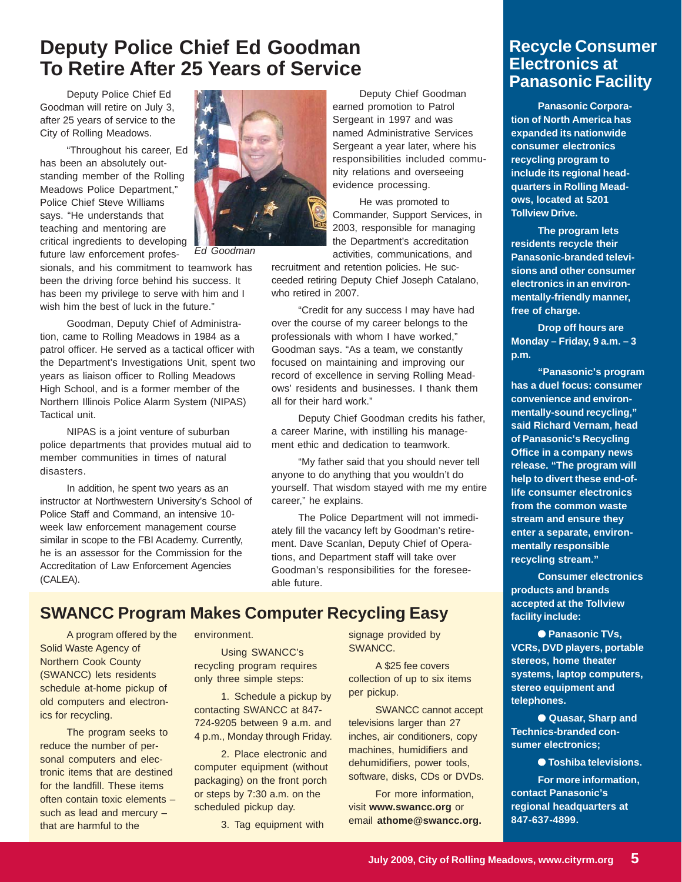## **Deputy Police Chief Ed Goodman To Retire After 25 Years of Service**

Deputy Police Chief Ed Goodman will retire on July 3, after 25 years of service to the City of Rolling Meadows.

"Throughout his career, Ed has been an absolutely outstanding member of the Rolling Meadows Police Department," Police Chief Steve Williams says. "He understands that teaching and mentoring are critical ingredients to developing future law enforcement profes-



*Ed Goodman*

sionals, and his commitment to teamwork has been the driving force behind his success. It has been my privilege to serve with him and I wish him the best of luck in the future."

Goodman, Deputy Chief of Administration, came to Rolling Meadows in 1984 as a patrol officer. He served as a tactical officer with the Department's Investigations Unit, spent two years as liaison officer to Rolling Meadows High School, and is a former member of the Northern Illinois Police Alarm System (NIPAS) Tactical unit.

NIPAS is a joint venture of suburban police departments that provides mutual aid to member communities in times of natural disasters.

In addition, he spent two years as an instructor at Northwestern University's School of Police Staff and Command, an intensive 10 week law enforcement management course similar in scope to the FBI Academy. Currently, he is an assessor for the Commission for the Accreditation of Law Enforcement Agencies (CALEA).

Deputy Chief Goodman earned promotion to Patrol Sergeant in 1997 and was named Administrative Services Sergeant a year later, where his responsibilities included community relations and overseeing evidence processing.

He was promoted to Commander, Support Services, in 2003, responsible for managing the Department's accreditation activities, communications, and

recruitment and retention policies. He succeeded retiring Deputy Chief Joseph Catalano, who retired in 2007.

"Credit for any success I may have had over the course of my career belongs to the professionals with whom I have worked," Goodman says. "As a team, we constantly focused on maintaining and improving our record of excellence in serving Rolling Meadows' residents and businesses. I thank them all for their hard work."

Deputy Chief Goodman credits his father, a career Marine, with instilling his management ethic and dedication to teamwork.

"My father said that you should never tell anyone to do anything that you wouldn't do yourself. That wisdom stayed with me my entire career," he explains.

The Police Department will not immediately fill the vacancy left by Goodman's retirement. Dave Scanlan, Deputy Chief of Operations, and Department staff will take over Goodman's responsibilities for the foreseeable future.

### **SWANCC Program Makes Computer Recycling Easy**

A program offered by the Solid Waste Agency of Northern Cook County (SWANCC) lets residents schedule at-home pickup of old computers and electronics for recycling.

The program seeks to reduce the number of personal computers and electronic items that are destined for the landfill. These items often contain toxic elements – such as lead and mercury – that are harmful to the

environment.

Using SWANCC's recycling program requires only three simple steps:

1. Schedule a pickup by contacting SWANCC at 847- 724-9205 between 9 a.m. and 4 p.m., Monday through Friday.

2. Place electronic and computer equipment (without packaging) on the front porch or steps by 7:30 a.m. on the scheduled pickup day.

3. Tag equipment with

signage provided by SWANCC.

A \$25 fee covers collection of up to six items per pickup.

SWANCC cannot accept televisions larger than 27 inches, air conditioners, copy machines, humidifiers and dehumidifiers, power tools, software, disks, CDs or DVDs.

For more information, visit **www.swancc.org** or email **athome@swancc.org.**

#### **Recycle Consumer Electronics at Panasonic Facility**

**Panasonic Corporation of North America has expanded its nationwide consumer electronics recycling program to include its regional headquarters in Rolling Meadows, located at 5201 Tollview Drive.**

**The program lets residents recycle their Panasonic-branded televisions and other consumer electronics in an environmentally-friendly manner, free of charge.**

**Drop off hours are Monday – Friday, 9 a.m. – 3 p.m.**

**"Panasonic's program has a duel focus: consumer convenience and environmentally-sound recycling," said Richard Vernam, head of Panasonic's Recycling Office in a company news release. "The program will help to divert these end-oflife consumer electronics from the common waste stream and ensure they enter a separate, environmentally responsible recycling stream."**

**Consumer electronics products and brands accepted at the Tollview facility include:**

● **Panasonic TVs, VCRs, DVD players, portable stereos, home theater systems, laptop computers, stereo equipment and telephones.**

● **Quasar, Sharp and Technics-branded consumer electronics;**

● **Toshiba televisions.**

**For more information, contact Panasonic's regional headquarters at 847-637-4899.**